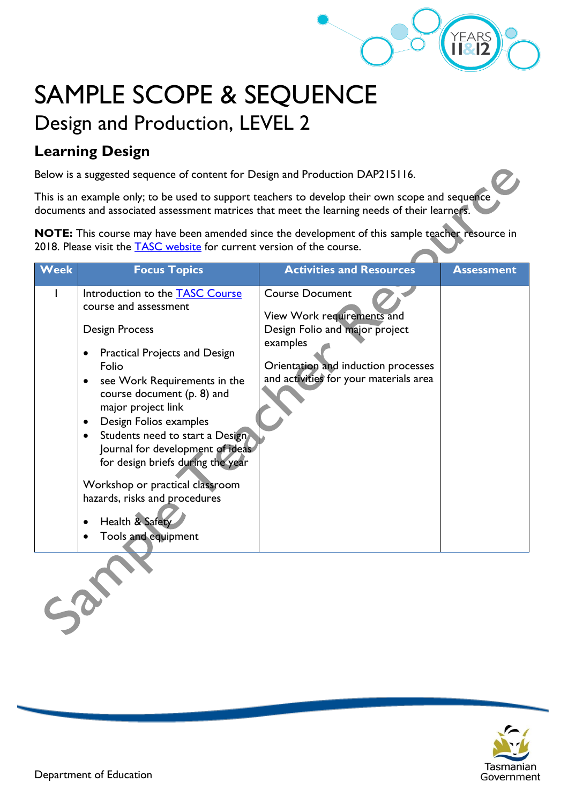

7

## SAMPLE SCOPE & SEQUENCE Design and Production, LEVEL 2

## **Learning Design**

Below is a suggested sequence of content for Design and Production DAP215116.

This is an example only; to be used to support teachers to develop their own scope and sequence documents and associated assessment matrices that meet the learning needs of their learners.

**NOTE:** This course may have been amended since the development of this sample teacher resource in 2018. Please visit the [TASC website](https://www.tasc.tas.gov.au/students/courses/a-z/) for current version of the course.

| <b>Week</b> | <b>Focus Topics</b>                                                                                                                                                                                                                                                                                                                                                                                                                                                                                                                 | <b>Activities and Resources</b>                                                                                                                                                     | <b>Assessment</b> |  |  |
|-------------|-------------------------------------------------------------------------------------------------------------------------------------------------------------------------------------------------------------------------------------------------------------------------------------------------------------------------------------------------------------------------------------------------------------------------------------------------------------------------------------------------------------------------------------|-------------------------------------------------------------------------------------------------------------------------------------------------------------------------------------|-------------------|--|--|
|             | Introduction to the <b>TASC Course</b><br>course and assessment<br>Design Process<br><b>Practical Projects and Design</b><br>٠<br>Folio<br>see Work Requirements in the<br>$\bullet$<br>course document (p. 8) and<br>major project link<br>Design Folios examples<br>$\bullet$<br>Students need to start a Design<br>$\bullet$<br>Journal for development of ideas<br>for design briefs during the year<br>Workshop or practical classroom<br>hazards, risks and procedures<br>Health & Safety<br>Tools and equipment<br>$\bullet$ | <b>Course Document</b><br>View Work requirements and<br>Design Folio and major project<br>examples<br>Orientation and induction processes<br>and activities for your materials area |                   |  |  |
|             |                                                                                                                                                                                                                                                                                                                                                                                                                                                                                                                                     |                                                                                                                                                                                     |                   |  |  |

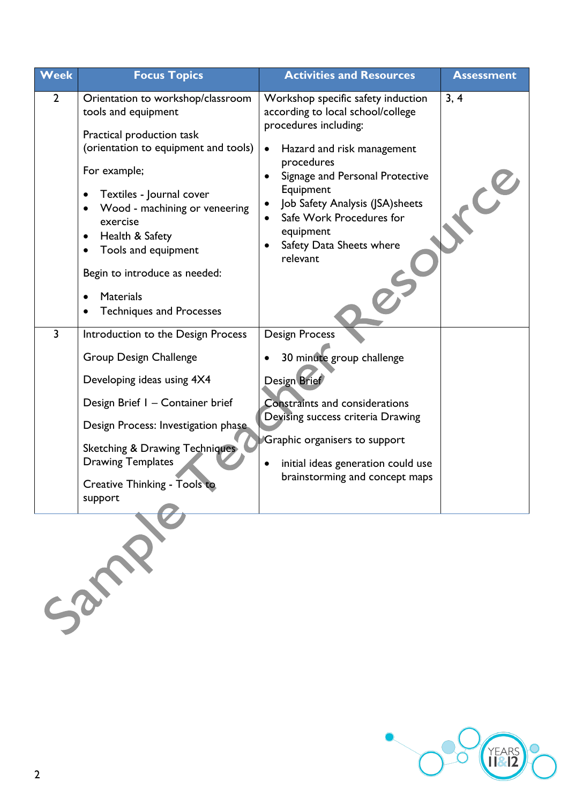| <b>Week</b>    | <b>Focus Topics</b>                                                                                                                                                                                                                                                                                                                             | <b>Activities and Resources</b>                                                                                                                                                                                                                                                                                                | <b>Assessment</b>    |
|----------------|-------------------------------------------------------------------------------------------------------------------------------------------------------------------------------------------------------------------------------------------------------------------------------------------------------------------------------------------------|--------------------------------------------------------------------------------------------------------------------------------------------------------------------------------------------------------------------------------------------------------------------------------------------------------------------------------|----------------------|
| $\overline{2}$ | Orientation to workshop/classroom<br>tools and equipment<br>Practical production task<br>(orientation to equipment and tools)<br>For example;<br>Textiles - Journal cover<br>Wood - machining or veneering<br>exercise<br>Health & Safety<br>$\bullet$<br>Tools and equipment<br>$\bullet$<br>Begin to introduce as needed:<br><b>Materials</b> | Workshop specific safety induction<br>according to local school/college<br>procedures including:<br>Hazard and risk management<br>$\bullet$<br>procedures<br>Signage and Personal Protective<br>Equipment<br>Job Safety Analysis (JSA) sheets<br>Safe Work Procedures for<br>equipment<br>Safety Data Sheets where<br>relevant | 3, 4<br>$\mathbf{C}$ |
| $\overline{3}$ | <b>Techniques and Processes</b>                                                                                                                                                                                                                                                                                                                 |                                                                                                                                                                                                                                                                                                                                |                      |
|                | Introduction to the Design Process<br>Group Design Challenge<br>Developing ideas using 4X4<br>Design Brief I - Container brief<br>Design Process: Investigation phase<br><b>Sketching &amp; Drawing Techniques</b><br><b>Drawing Templates</b><br>Creative Thinking - Tools to<br>support                                                       | <b>Design Process</b><br>30 minute group challenge<br>Design Brief<br><b>Constraints and considerations</b><br>Devising success criteria Drawing<br>Graphic organisers to support<br>initial ideas generation could use<br>brainstorming and concept maps                                                                      |                      |
|                |                                                                                                                                                                                                                                                                                                                                                 |                                                                                                                                                                                                                                                                                                                                |                      |

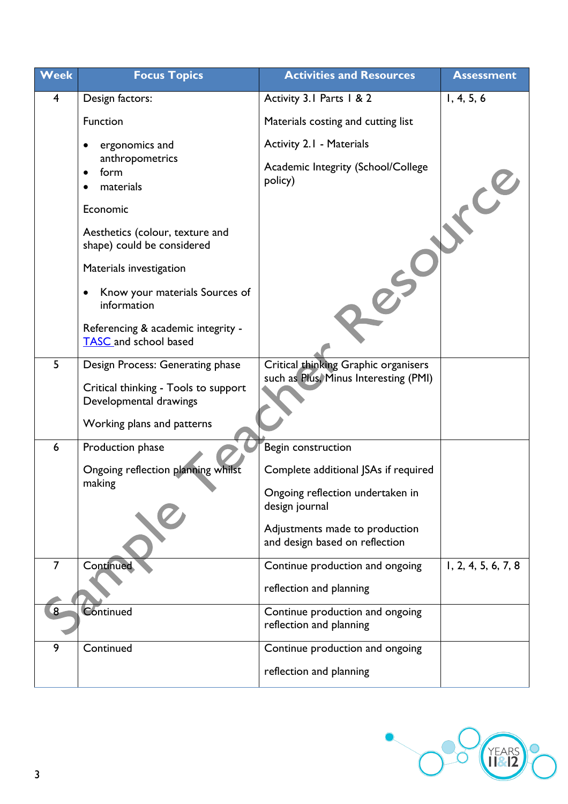| Week | <b>Focus Topics</b>                                            | <b>Activities and Resources</b>                                               | <b>Assessment</b>   |
|------|----------------------------------------------------------------|-------------------------------------------------------------------------------|---------------------|
| 4    | Design factors:                                                | Activity 3.1 Parts 1 & 2                                                      | 1, 4, 5, 6          |
|      | Function                                                       | Materials costing and cutting list                                            |                     |
|      | ergonomics and                                                 | Activity 2.1 - Materials                                                      |                     |
|      | anthropometrics<br>form<br>$\bullet$<br>materials              | Academic Integrity (School/College<br>policy)                                 |                     |
|      | Economic                                                       |                                                                               | $\mathcal{C}$       |
|      | Aesthetics (colour, texture and<br>shape) could be considered  |                                                                               |                     |
|      | Materials investigation                                        |                                                                               |                     |
|      | Know your materials Sources of<br>$\bullet$<br>information     |                                                                               |                     |
|      | Referencing & academic integrity -<br>TASC and school based    |                                                                               |                     |
| 5    | Design Process: Generating phase                               | Critical thinking Graphic organisers<br>such as Plus, Minus Interesting (PMI) |                     |
|      | Critical thinking - Tools to support<br>Developmental drawings |                                                                               |                     |
|      | Working plans and patterns                                     |                                                                               |                     |
| 6    | Production phase                                               | Begin construction                                                            |                     |
|      | Ongoing reflection planning whilst                             | Complete additional JSAs if required                                          |                     |
|      | making                                                         | Ongoing reflection undertaken in<br>design journal                            |                     |
|      |                                                                | Adjustments made to production<br>and design based on reflection              |                     |
| 7    | <b>Continued</b>                                               | Continue production and ongoing                                               | 1, 2, 4, 5, 6, 7, 8 |
|      |                                                                | reflection and planning                                                       |                     |
| 8    | Continued                                                      | Continue production and ongoing<br>reflection and planning                    |                     |
| 9    | Continued                                                      | Continue production and ongoing                                               |                     |
|      |                                                                | reflection and planning                                                       |                     |

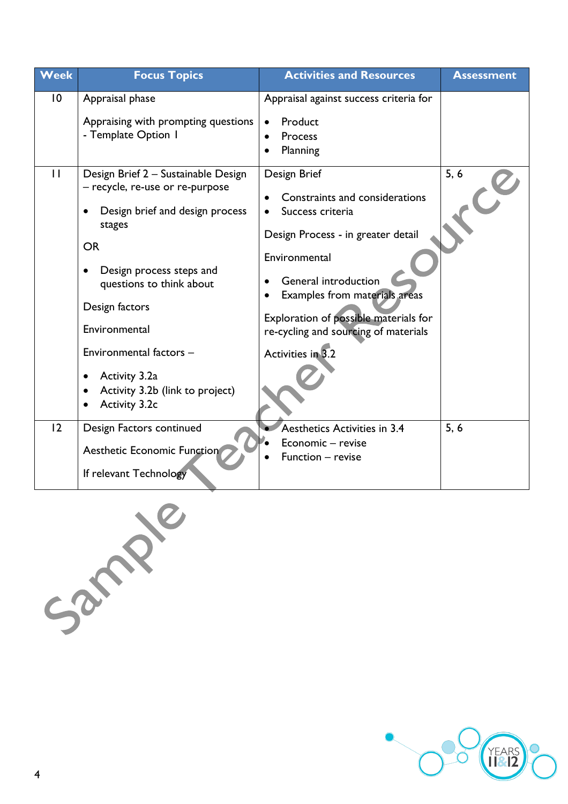| Week                           | <b>Focus Topics</b>                                                                                                                                                                                                                                                                                      | <b>Activities and Resources</b>                                                                                                                                                                                                                                                 | <b>Assessment</b> |
|--------------------------------|----------------------------------------------------------------------------------------------------------------------------------------------------------------------------------------------------------------------------------------------------------------------------------------------------------|---------------------------------------------------------------------------------------------------------------------------------------------------------------------------------------------------------------------------------------------------------------------------------|-------------------|
| $\overline{0}$<br>$\mathbf{H}$ | Appraisal phase<br>Appraising with prompting questions<br>- Template Option I<br>Design Brief 2 - Sustainable Design                                                                                                                                                                                     | Appraisal against success criteria for<br>Product<br>Process<br>Planning<br>Design Brief                                                                                                                                                                                        | 5, 6              |
|                                | - recycle, re-use or re-purpose<br>Design brief and design process<br>stages<br><b>OR</b><br>Design process steps and<br>questions to think about<br>Design factors<br>Environmental<br>Environmental factors -<br>Activity 3.2a<br>$\bullet$<br>Activity 3.2b (link to project)<br><b>Activity 3.2c</b> | Constraints and considerations<br>Success criteria<br>Design Process - in greater detail<br>Environmental<br><b>General introduction</b><br>Examples from materials areas<br>Exploration of possible materials for<br>re-cycling and sourcing of materials<br>Activities in 3.2 |                   |
| 2                              | Design Factors continued<br><b>Aesthetic Economic Function</b><br>If relevant Technology                                                                                                                                                                                                                 | Aesthetics Activities in 3.4<br>Economic - revise<br>Function - revise                                                                                                                                                                                                          | 5, 6              |



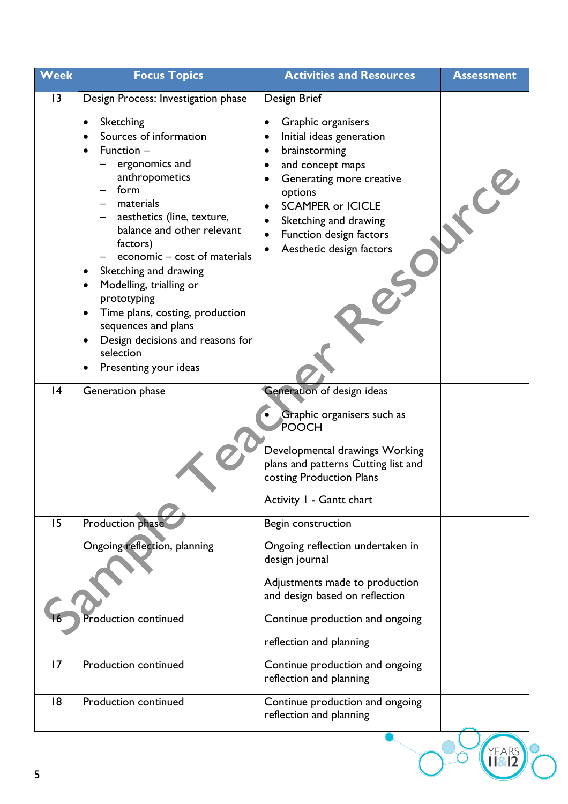| 13<br>Design Process: Investigation phase<br>Sketching<br>$\bullet$<br>Sources of information<br>Function $-$<br>$\bullet$<br>ergonomics and<br>anthropometics<br>form<br>materials<br>aesthetics (line, texture,<br>balance and other relevant<br>factors) | Design Brief<br>Graphic organisers<br>Initial ideas generation<br>brainstorming<br>and concept maps<br>Generating more creative<br>options<br><b>SCAMPER or ICICLE</b><br>Sketching and drawing            |
|-------------------------------------------------------------------------------------------------------------------------------------------------------------------------------------------------------------------------------------------------------------|------------------------------------------------------------------------------------------------------------------------------------------------------------------------------------------------------------|
| economic – cost of materials<br>Sketching and drawing<br>Modelling, trialling or<br>$\bullet$<br>prototyping                                                                                                                                                | Function design factors<br>Aesthetic design factors                                                                                                                                                        |
| Time plans, costing, production<br>٠<br>sequences and plans<br>Design decisions and reasons for<br>$\bullet$<br>selection<br>Presenting your ideas<br> 4<br>Generation phase                                                                                | Generation of design ideas<br>Graphic organisers such as<br>POOCH<br>Developmental drawings Working<br>plans and patterns Cutting list and<br>costing Production Plans<br>Activity I - Gantt chart         |
| Production phase<br>15<br>Ongoing reflection, planning<br>Production continued                                                                                                                                                                              | Begin construction<br>Ongoing reflection undertaken in<br>design journal<br>Adjustments made to production<br>and design based on reflection<br>Continue production and ongoing<br>reflection and planning |
| 17<br>Production continued<br>18<br>Production continued                                                                                                                                                                                                    | Continue production and ongoing<br>reflection and planning<br>Continue production and ongoing<br>reflection and planning                                                                                   |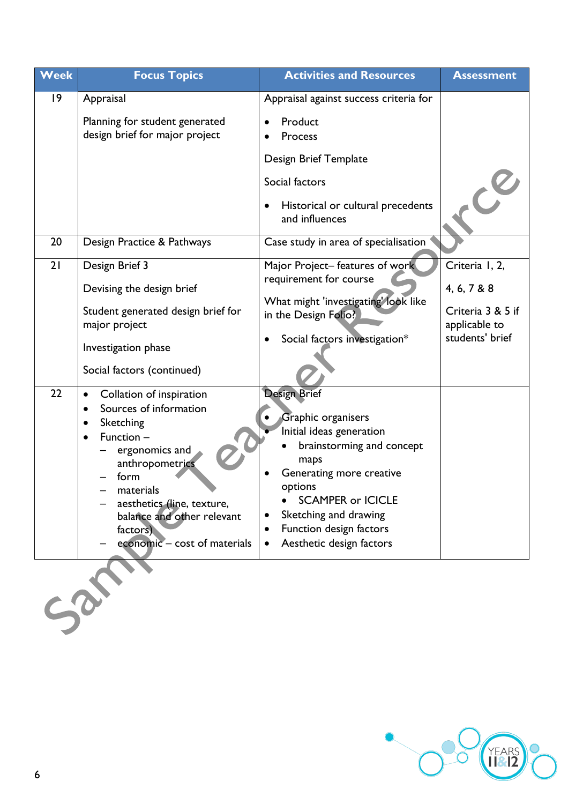| <b>Week</b>       | <b>Focus Topics</b>                                      | <b>Activities and Resources</b>                              | <b>Assessment</b> |
|-------------------|----------------------------------------------------------|--------------------------------------------------------------|-------------------|
| $ 9\rangle$       | Appraisal                                                | Appraisal against success criteria for                       |                   |
|                   | Planning for student generated                           | Product                                                      |                   |
|                   | design brief for major project                           | Process                                                      |                   |
|                   |                                                          | Design Brief Template                                        |                   |
|                   |                                                          | Social factors                                               |                   |
|                   |                                                          | Historical or cultural precedents<br>and influences          |                   |
| 20                | Design Practice & Pathways                               | Case study in area of specialisation                         |                   |
|                   |                                                          |                                                              |                   |
| 21                | Design Brief 3                                           | Major Project-features of work<br>requirement for course     | Criteria I, 2,    |
|                   | Devising the design brief                                |                                                              | 4, 6, 7 & 8       |
|                   | Student generated design brief for                       | What might 'investigating' look like<br>in the Design Folio? | Criteria 3 & 5 if |
|                   | major project                                            |                                                              | applicable to     |
|                   | Investigation phase                                      | Social factors investigation*                                | students' brief   |
|                   | Social factors (continued)                               |                                                              |                   |
| 22                | Collation of inspiration                                 | <b>Design Brief</b>                                          |                   |
|                   | Sources of information<br>$\bullet$<br>Sketching         | Graphic organisers                                           |                   |
|                   | Function -<br>$\bullet$                                  | Initial ideas generation                                     |                   |
|                   | ergonomics and                                           | brainstorming and concept<br>maps                            |                   |
|                   | anthropometrics<br>form                                  | Generating more creative                                     |                   |
|                   | materials                                                | options                                                      |                   |
|                   | aesthetics (line, texture,<br>balance and other relevant | <b>SCAMPER or ICICLE</b><br>Sketching and drawing            |                   |
|                   | factors)                                                 | Function design factors                                      |                   |
|                   | economic - cost of materials                             | Aesthetic design factors                                     |                   |
|                   |                                                          |                                                              |                   |
|                   |                                                          |                                                              |                   |
| $c_{\mathcal{P}}$ |                                                          |                                                              |                   |
|                   |                                                          |                                                              |                   |

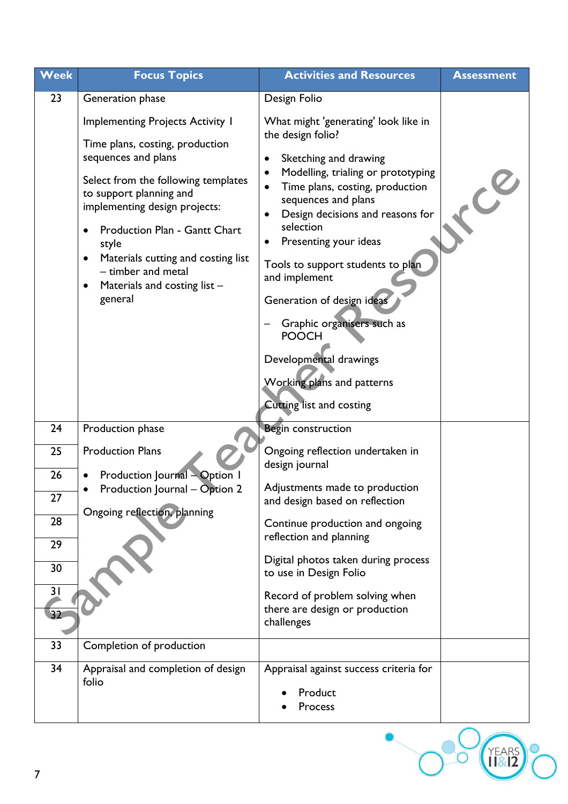| <b>Week</b>                                                    | <b>Focus Topics</b>                                                                                                                                                                                                                                                                                                                                   | <b>Activities and Resources</b>                                                                                                                                                                                                                                                                                                                                                                                                                                                                   | <b>Assessment</b> |
|----------------------------------------------------------------|-------------------------------------------------------------------------------------------------------------------------------------------------------------------------------------------------------------------------------------------------------------------------------------------------------------------------------------------------------|---------------------------------------------------------------------------------------------------------------------------------------------------------------------------------------------------------------------------------------------------------------------------------------------------------------------------------------------------------------------------------------------------------------------------------------------------------------------------------------------------|-------------------|
| 23                                                             | Generation phase                                                                                                                                                                                                                                                                                                                                      | Design Folio                                                                                                                                                                                                                                                                                                                                                                                                                                                                                      |                   |
|                                                                | <b>Implementing Projects Activity I</b><br>Time plans, costing, production<br>sequences and plans<br>Select from the following templates<br>to support planning and<br>implementing design projects:<br>Production Plan - Gantt Chart<br>style<br>Materials cutting and costing list<br>- timber and metal<br>Materials and costing list -<br>general | What might 'generating' look like in<br>the design folio?<br>Sketching and drawing<br>٠<br>Modelling, trialing or prototyping<br>٠<br>Time plans, costing, production<br>sequences and plans<br>Design decisions and reasons for<br>selection<br>Presenting your ideas<br>٠<br>Tools to support students to plan<br>and implement<br>Generation of design ideas<br>Graphic organisers such as<br><b>POOCH</b><br>Developmental drawings<br>Working plans and patterns<br>Cutting list and costing | $\mathbf{c}^2$    |
| 24<br>25<br>26<br>27<br>28<br>29<br>30<br>3 <sub>1</sub><br>32 | Production phase<br><b>Production Plans</b><br>Production Journal - Option 1<br>Production Journal - Option 2<br>Ongoing reflection, planning                                                                                                                                                                                                         | Begin construction<br>Ongoing reflection undertaken in<br>design journal<br>Adjustments made to production<br>and design based on reflection<br>Continue production and ongoing<br>reflection and planning<br>Digital photos taken during process<br>to use in Design Folio<br>Record of problem solving when<br>there are design or production<br>challenges                                                                                                                                     |                   |
| 33<br>34                                                       | Completion of production<br>Appraisal and completion of design<br>folio                                                                                                                                                                                                                                                                               | Appraisal against success criteria for<br>Product<br>Process                                                                                                                                                                                                                                                                                                                                                                                                                                      |                   |
| 7                                                              |                                                                                                                                                                                                                                                                                                                                                       |                                                                                                                                                                                                                                                                                                                                                                                                                                                                                                   |                   |